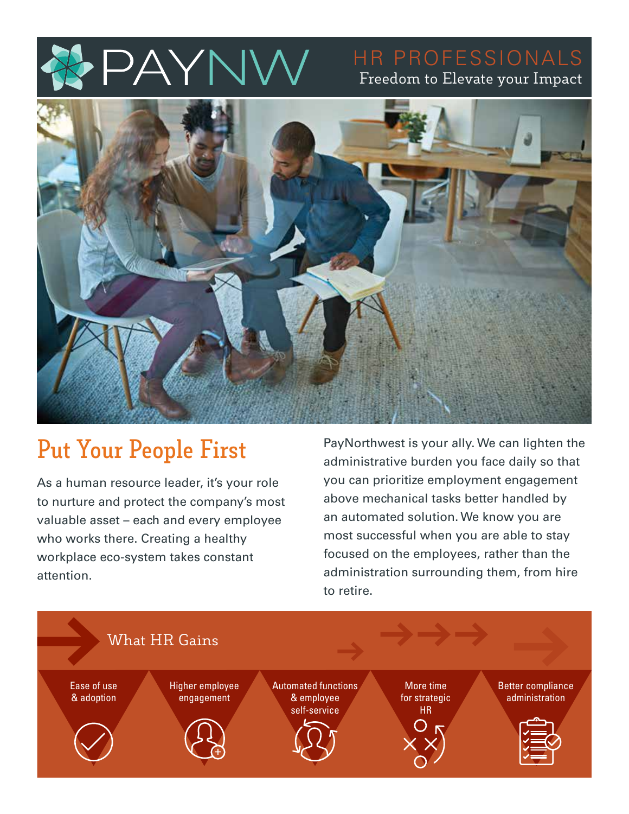

# Freedom to Elevate your Impact



# **Put Your People First**

As a human resource leader, it's your role to nurture and protect the company's most valuable asset – each and every employee who works there. Creating a healthy workplace eco-system takes constant attention.

PayNorthwest is your ally. We can lighten the administrative burden you face daily so that you can prioritize employment engagement above mechanical tasks better handled by an automated solution. We know you are most successful when you are able to stay focused on the employees, rather than the administration surrounding them, from hire to retire.